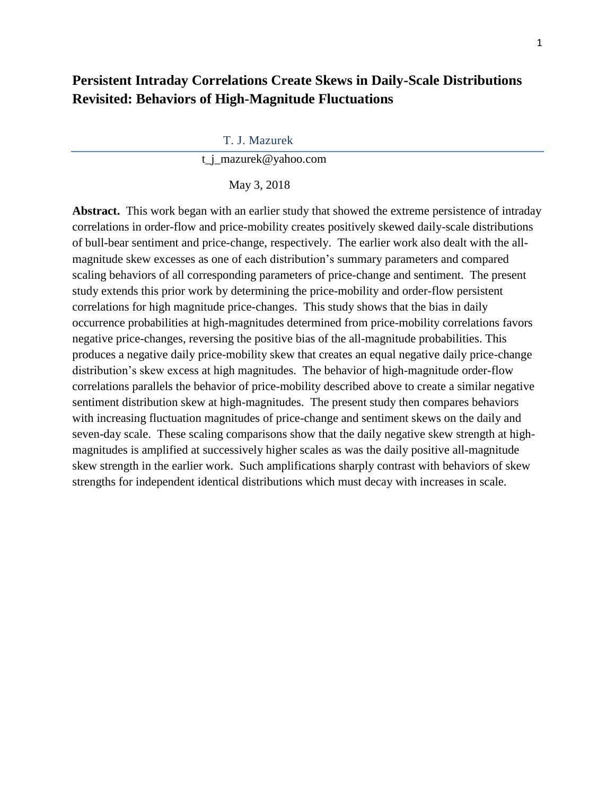# **Persistent Intraday Correlations Create Skews in Daily-Scale Distributions Revisited: Behaviors of High-Magnitude Fluctuations**

#### T. J. Mazurek

t\_j\_mazurek@yahoo.com

#### May 3, 2018

**Abstract.** This work began with an earlier study that showed the extreme persistence of intraday correlations in order-flow and price-mobility creates positively skewed daily-scale distributions of bull-bear sentiment and price-change, respectively. The earlier work also dealt with the allmagnitude skew excesses as one of each distribution's summary parameters and compared scaling behaviors of all corresponding parameters of price-change and sentiment. The present study extends this prior work by determining the price-mobility and order-flow persistent correlations for high magnitude price-changes. This study shows that the bias in daily occurrence probabilities at high-magnitudes determined from price-mobility correlations favors negative price-changes, reversing the positive bias of the all-magnitude probabilities. This produces a negative daily price-mobility skew that creates an equal negative daily price-change distribution's skew excess at high magnitudes. The behavior of high-magnitude order-flow correlations parallels the behavior of price-mobility described above to create a similar negative sentiment distribution skew at high-magnitudes. The present study then compares behaviors with increasing fluctuation magnitudes of price-change and sentiment skews on the daily and seven-day scale. These scaling comparisons show that the daily negative skew strength at highmagnitudes is amplified at successively higher scales as was the daily positive all-magnitude skew strength in the earlier work. Such amplifications sharply contrast with behaviors of skew strengths for independent identical distributions which must decay with increases in scale.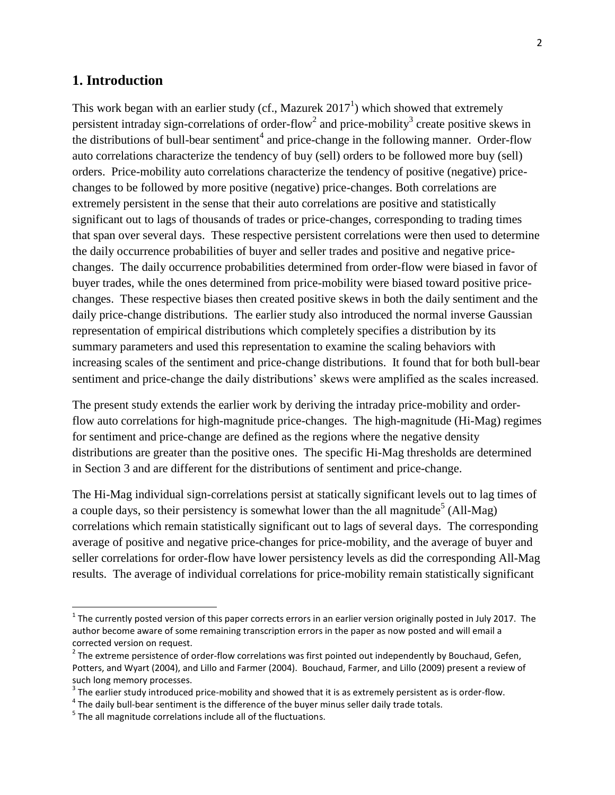## **1. Introduction**

This work began with an earlier study (cf., Mazurek  $2017<sup>1</sup>$ ) which showed that extremely persistent intraday sign-correlations of order-flow<sup>2</sup> and price-mobility<sup>3</sup> create positive skews in the distributions of bull-bear sentiment<sup>4</sup> and price-change in the following manner. Order-flow auto correlations characterize the tendency of buy (sell) orders to be followed more buy (sell) orders. Price-mobility auto correlations characterize the tendency of positive (negative) pricechanges to be followed by more positive (negative) price-changes. Both correlations are extremely persistent in the sense that their auto correlations are positive and statistically significant out to lags of thousands of trades or price-changes, corresponding to trading times that span over several days. These respective persistent correlations were then used to determine the daily occurrence probabilities of buyer and seller trades and positive and negative pricechanges. The daily occurrence probabilities determined from order-flow were biased in favor of buyer trades, while the ones determined from price-mobility were biased toward positive pricechanges. These respective biases then created positive skews in both the daily sentiment and the daily price-change distributions. The earlier study also introduced the normal inverse Gaussian representation of empirical distributions which completely specifies a distribution by its summary parameters and used this representation to examine the scaling behaviors with increasing scales of the sentiment and price-change distributions. It found that for both bull-bear sentiment and price-change the daily distributions' skews were amplified as the scales increased.

The present study extends the earlier work by deriving the intraday price-mobility and orderflow auto correlations for high-magnitude price-changes. The high-magnitude (Hi-Mag) regimes for sentiment and price-change are defined as the regions where the negative density distributions are greater than the positive ones. The specific Hi-Mag thresholds are determined in Section 3 and are different for the distributions of sentiment and price-change.

The Hi-Mag individual sign-correlations persist at statically significant levels out to lag times of a couple days, so their persistency is somewhat lower than the all magnitude<sup>5</sup> (All-Mag) correlations which remain statistically significant out to lags of several days. The corresponding average of positive and negative price-changes for price-mobility, and the average of buyer and seller correlations for order-flow have lower persistency levels as did the corresponding All-Mag results. The average of individual correlations for price-mobility remain statistically significant

 $\overline{\phantom{a}}$ 

 $1$  The currently posted version of this paper corrects errors in an earlier version originally posted in July 2017. The author become aware of some remaining transcription errors in the paper as now posted and will email a corrected version on request.

 $^2$  The extreme persistence of order-flow correlations was first pointed out independently by Bouchaud, Gefen, Potters, and Wyart (2004), and Lillo and Farmer (2004). Bouchaud, Farmer, and Lillo (2009) present a review of such long memory processes.

 $3$  The earlier study introduced price-mobility and showed that it is as extremely persistent as is order-flow.

 $^4$  The daily bull-bear sentiment is the difference of the buyer minus seller daily trade totals.

 $<sup>5</sup>$  The all magnitude correlations include all of the fluctuations.</sup>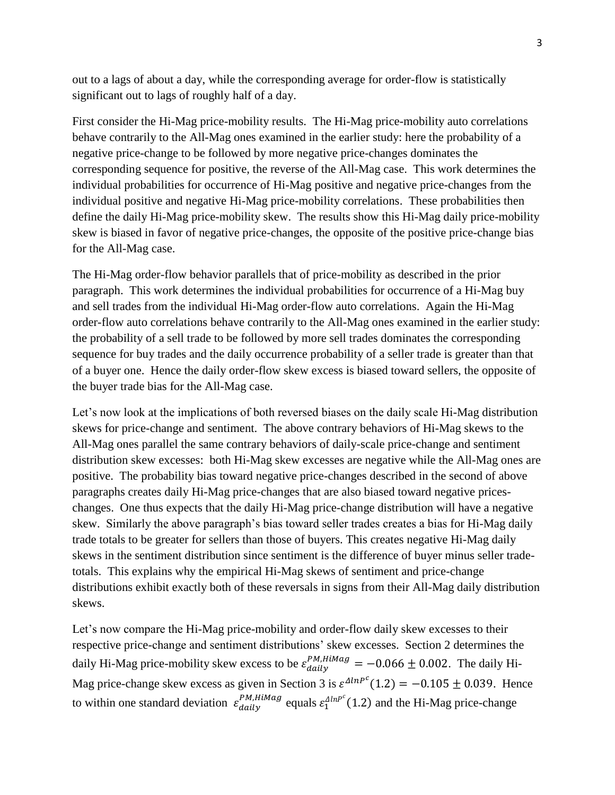out to a lags of about a day, while the corresponding average for order-flow is statistically significant out to lags of roughly half of a day.

First consider the Hi-Mag price-mobility results. The Hi-Mag price-mobility auto correlations behave contrarily to the All-Mag ones examined in the earlier study: here the probability of a negative price-change to be followed by more negative price-changes dominates the corresponding sequence for positive, the reverse of the All-Mag case. This work determines the individual probabilities for occurrence of Hi-Mag positive and negative price-changes from the individual positive and negative Hi-Mag price-mobility correlations. These probabilities then define the daily Hi-Mag price-mobility skew. The results show this Hi-Mag daily price-mobility skew is biased in favor of negative price-changes, the opposite of the positive price-change bias for the All-Mag case.

The Hi-Mag order-flow behavior parallels that of price-mobility as described in the prior paragraph. This work determines the individual probabilities for occurrence of a Hi-Mag buy and sell trades from the individual Hi-Mag order-flow auto correlations. Again the Hi-Mag order-flow auto correlations behave contrarily to the All-Mag ones examined in the earlier study: the probability of a sell trade to be followed by more sell trades dominates the corresponding sequence for buy trades and the daily occurrence probability of a seller trade is greater than that of a buyer one. Hence the daily order-flow skew excess is biased toward sellers, the opposite of the buyer trade bias for the All-Mag case.

Let's now look at the implications of both reversed biases on the daily scale Hi-Mag distribution skews for price-change and sentiment. The above contrary behaviors of Hi-Mag skews to the All-Mag ones parallel the same contrary behaviors of daily-scale price-change and sentiment distribution skew excesses: both Hi-Mag skew excesses are negative while the All-Mag ones are positive. The probability bias toward negative price-changes described in the second of above paragraphs creates daily Hi-Mag price-changes that are also biased toward negative priceschanges. One thus expects that the daily Hi-Mag price-change distribution will have a negative skew. Similarly the above paragraph's bias toward seller trades creates a bias for Hi-Mag daily trade totals to be greater for sellers than those of buyers. This creates negative Hi-Mag daily skews in the sentiment distribution since sentiment is the difference of buyer minus seller tradetotals. This explains why the empirical Hi-Mag skews of sentiment and price-change distributions exhibit exactly both of these reversals in signs from their All-Mag daily distribution skews.

Let's now compare the Hi-Mag price-mobility and order-flow daily skew excesses to their respective price-change and sentiment distributions' skew excesses. Section 2 determines the daily Hi-Mag price-mobility skew excess to be  $\varepsilon_{daily}^{PM, HiMag} = -0.066 \pm 0.002$ . The daily Hi-Mag price-change skew excess as given in Section 3 is  $\varepsilon^{AlnP^c}(1.2) = -0.105 \pm 0.039$ . Hence to within one standard deviation  $\varepsilon_{daily}^{PM, HiMag}$  equals  $\varepsilon_1^{AlnP^c}(1.2)$  and the Hi-Mag price-change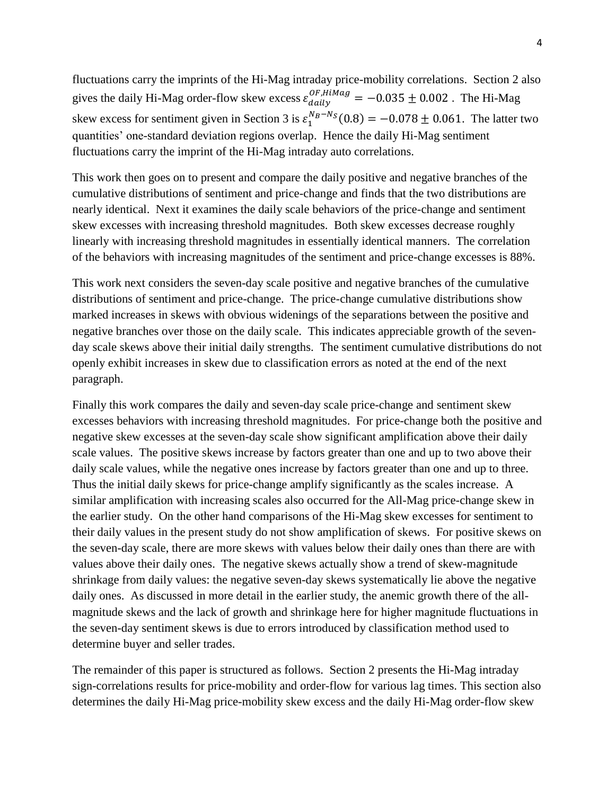fluctuations carry the imprints of the Hi-Mag intraday price-mobility correlations. Section 2 also gives the daily Hi-Mag order-flow skew excess  $\varepsilon_{daily}^{OF, HiMag} = -0.035 \pm 0.002$ . The Hi-Mag skew excess for sentiment given in Section 3 is  $\varepsilon_1^{N_B - N_S}(0.8) = -0.078 \pm 0.061$ . The latter two quantities' one-standard deviation regions overlap. Hence the daily Hi-Mag sentiment fluctuations carry the imprint of the Hi-Mag intraday auto correlations.

This work then goes on to present and compare the daily positive and negative branches of the cumulative distributions of sentiment and price-change and finds that the two distributions are nearly identical. Next it examines the daily scale behaviors of the price-change and sentiment skew excesses with increasing threshold magnitudes. Both skew excesses decrease roughly linearly with increasing threshold magnitudes in essentially identical manners. The correlation of the behaviors with increasing magnitudes of the sentiment and price-change excesses is 88%.

This work next considers the seven-day scale positive and negative branches of the cumulative distributions of sentiment and price-change. The price-change cumulative distributions show marked increases in skews with obvious widenings of the separations between the positive and negative branches over those on the daily scale. This indicates appreciable growth of the sevenday scale skews above their initial daily strengths. The sentiment cumulative distributions do not openly exhibit increases in skew due to classification errors as noted at the end of the next paragraph.

Finally this work compares the daily and seven-day scale price-change and sentiment skew excesses behaviors with increasing threshold magnitudes. For price-change both the positive and negative skew excesses at the seven-day scale show significant amplification above their daily scale values. The positive skews increase by factors greater than one and up to two above their daily scale values, while the negative ones increase by factors greater than one and up to three. Thus the initial daily skews for price-change amplify significantly as the scales increase. A similar amplification with increasing scales also occurred for the All-Mag price-change skew in the earlier study. On the other hand comparisons of the Hi-Mag skew excesses for sentiment to their daily values in the present study do not show amplification of skews. For positive skews on the seven-day scale, there are more skews with values below their daily ones than there are with values above their daily ones. The negative skews actually show a trend of skew-magnitude shrinkage from daily values: the negative seven-day skews systematically lie above the negative daily ones. As discussed in more detail in the earlier study, the anemic growth there of the allmagnitude skews and the lack of growth and shrinkage here for higher magnitude fluctuations in the seven-day sentiment skews is due to errors introduced by classification method used to determine buyer and seller trades.

The remainder of this paper is structured as follows. Section 2 presents the Hi-Mag intraday sign-correlations results for price-mobility and order-flow for various lag times. This section also determines the daily Hi-Mag price-mobility skew excess and the daily Hi-Mag order-flow skew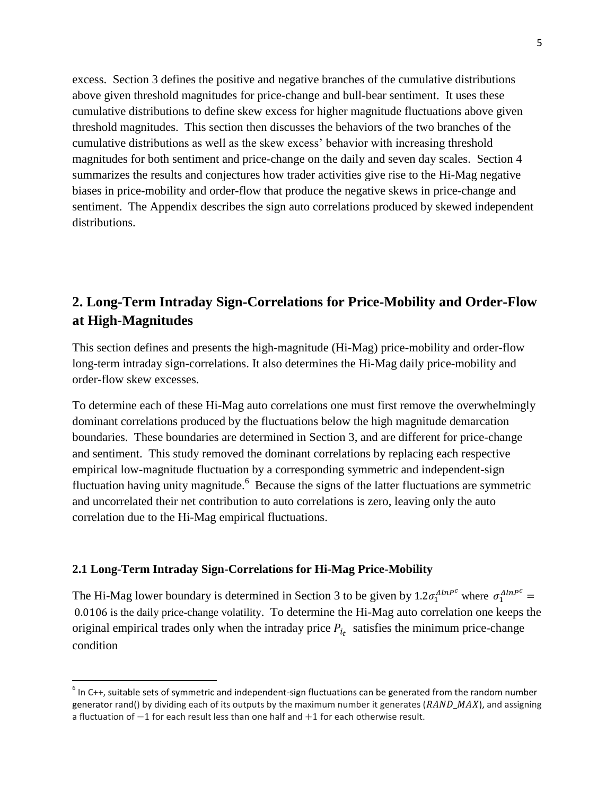excess. Section 3 defines the positive and negative branches of the cumulative distributions above given threshold magnitudes for price-change and bull-bear sentiment. It uses these cumulative distributions to define skew excess for higher magnitude fluctuations above given threshold magnitudes. This section then discusses the behaviors of the two branches of the cumulative distributions as well as the skew excess' behavior with increasing threshold magnitudes for both sentiment and price-change on the daily and seven day scales. Section 4 summarizes the results and conjectures how trader activities give rise to the Hi-Mag negative biases in price-mobility and order-flow that produce the negative skews in price-change and sentiment. The Appendix describes the sign auto correlations produced by skewed independent distributions.

# **2. Long-Term Intraday Sign-Correlations for Price-Mobility and Order-Flow at High-Magnitudes**

This section defines and presents the high-magnitude (Hi-Mag) price-mobility and order-flow long-term intraday sign-correlations. It also determines the Hi-Mag daily price-mobility and order-flow skew excesses.

To determine each of these Hi-Mag auto correlations one must first remove the overwhelmingly dominant correlations produced by the fluctuations below the high magnitude demarcation boundaries. These boundaries are determined in Section 3, and are different for price-change and sentiment. This study removed the dominant correlations by replacing each respective empirical low-magnitude fluctuation by a corresponding symmetric and independent-sign fluctuation having unity magnitude. <sup>6</sup> Because the signs of the latter fluctuations are symmetric and uncorrelated their net contribution to auto correlations is zero, leaving only the auto correlation due to the Hi-Mag empirical fluctuations.

#### **2.1 Long-Term Intraday Sign-Correlations for Hi-Mag Price-Mobility**

 $\overline{\phantom{a}}$ 

The Hi-Mag lower boundary is determined in Section 3 to be given by  $1.2\sigma_1^{AlnP^c}$  where  $\sigma_1^{AlnP^c}$ 0.0106 is the daily price-change volatility. To determine the Hi-Mag auto correlation one keeps the original empirical trades only when the intraday price  $P_{i_t}$  satisfies the minimum price-change condition

 $<sup>6</sup>$  In C++, suitable sets of symmetric and independent-sign fluctuations can be generated from the random number</sup> generator rand() by dividing each of its outputs by the maximum number it generates ( $\overline{RAND}$  MAX), and assigning a fluctuation of −1 for each result less than one half and +1 for each otherwise result.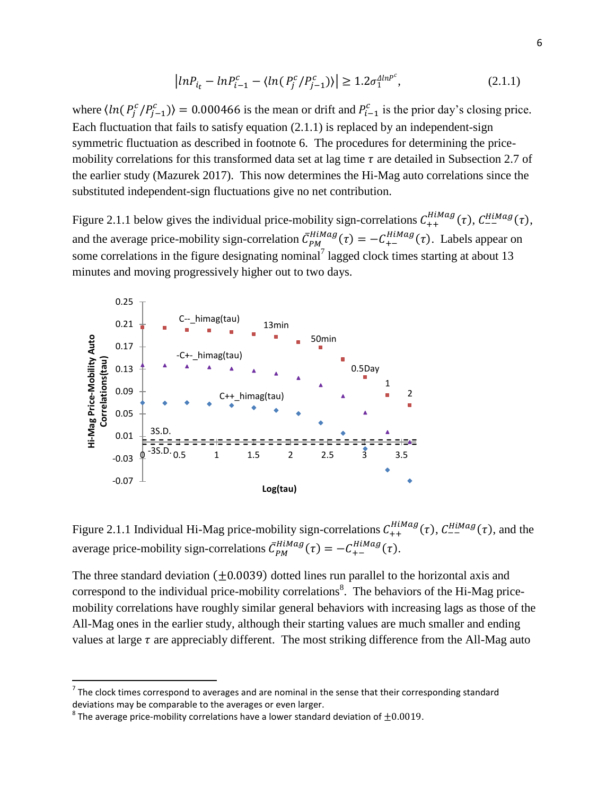$$
\left| \ln P_{i_t} - \ln P_{i-1}^c - \langle \ln(P_j^c/P_{j-1}^c) \rangle \right| \ge 1.2 \sigma_1^{\Delta \ln P^c}, \tag{2.1.1}
$$

where  $\langle ln(P_j^c/P_{j-1}^c) \rangle = 0.000466$  is the mean or drift and  $P_{i-1}^c$  is the prior day's closing price. Each fluctuation that fails to satisfy equation (2.1.1) is replaced by an independent-sign symmetric fluctuation as described in footnote 6. The procedures for determining the pricemobility correlations for this transformed data set at lag time  $\tau$  are detailed in Subsection 2.7 of the earlier study (Mazurek 2017). This now determines the Hi-Mag auto correlations since the substituted independent-sign fluctuations give no net contribution.

Figure 2.1.1 below gives the individual price-mobility sign-correlations  $C_{++}^{HiMag}(\tau)$ ,  $C_{--}^{HiMag}(\tau)$ , and the average price-mobility sign-correlation  $\bar{C}_{PM}^{HiMag}(\tau) = -C_{+-}^{HiMag}(\tau)$ . Labels appear on some correlations in the figure designating nominal<sup>7</sup> lagged clock times starting at about 13 minutes and moving progressively higher out to two days.



Figure 2.1.1 Individual Hi-Mag price-mobility sign-correlations  $C_{++}^{HiMag}(\tau)$ ,  $C_{--}^{HiMag}(\tau)$ , and the average price-mobility sign-correlations  $\bar{C}_{PM}^{HiMag}(\tau) = -C_{+-}^{HiMag}(\tau)$ .

The three standard deviation  $(\pm 0.0039)$  dotted lines run parallel to the horizontal axis and correspond to the individual price-mobility correlations<sup>8</sup>. The behaviors of the Hi-Mag pricemobility correlations have roughly similar general behaviors with increasing lags as those of the All-Mag ones in the earlier study, although their starting values are much smaller and ending values at large  $\tau$  are appreciably different. The most striking difference from the All-Mag auto

The clock times correspond to averages and are nominal in the sense that their corresponding standard <sup>7</sup><br>The clock times correspond to averages and are nominal in the sense that their corresponding standard deviations may be comparable to the averages or even larger.

 $^8$  The average price-mobility correlations have a lower standard deviation of  $\pm 0.0019$ .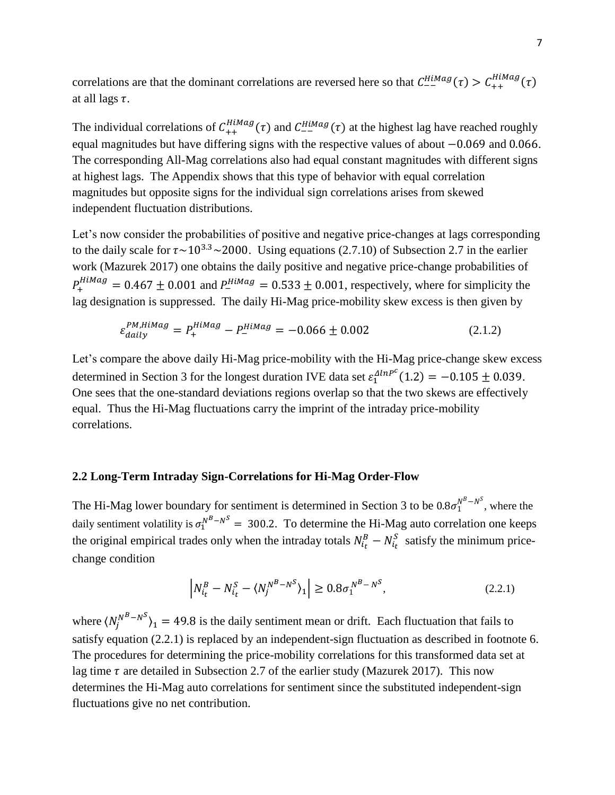correlations are that the dominant correlations are reversed here so that  $C_{--}^{HiMag}(\tau) > C_{++}^{HiMag}(\tau)$ at all lags  $\tau$ .

The individual correlations of  $C_{++}^{H i M a g}(\tau)$  and  $C_{--}^{H i M a g}(\tau)$  at the highest lag have reached roughly equal magnitudes but have differing signs with the respective values of about −0.069 and 0.066. The corresponding All-Mag correlations also had equal constant magnitudes with different signs at highest lags. The Appendix shows that this type of behavior with equal correlation magnitudes but opposite signs for the individual sign correlations arises from skewed independent fluctuation distributions.

Let's now consider the probabilities of positive and negative price-changes at lags corresponding to the daily scale for  $\tau \sim 10^{3.3} \sim 2000$ . Using equations (2.7.10) of Subsection 2.7 in the earlier work (Mazurek 2017) one obtains the daily positive and negative price-change probabilities of  $P_+^{HiMag} = 0.467 \pm 0.001$  and  $P_-^{HiMag} = 0.533 \pm 0.001$ , respectively, where for simplicity the lag designation is suppressed. The daily Hi-Mag price-mobility skew excess is then given by

$$
\varepsilon_{daily}^{PM, HiMag} = P_{+}^{HiMag} - P_{-}^{HiMag} = -0.066 \pm 0.002 \tag{2.1.2}
$$

Let's compare the above daily Hi-Mag price-mobility with the Hi-Mag price-change skew excess determined in Section 3 for the longest duration IVE data set  $\varepsilon_1^{AlnP^c}(1.2) = -0.105 \pm 0.039$ . One sees that the one-standard deviations regions overlap so that the two skews are effectively equal. Thus the Hi-Mag fluctuations carry the imprint of the intraday price-mobility correlations.

## **2.2 Long-Term Intraday Sign-Correlations for Hi-Mag Order-Flow**

The Hi-Mag lower boundary for sentiment is determined in Section 3 to be  $0.8\sigma_1^{N^B-N^S}$ , where the daily sentiment volatility is  $\sigma_1^{N^B - N^S} = 300.2$ . To determine the Hi-Mag auto correlation one keeps the original empirical trades only when the intraday totals  $N_{i_t}^B - N_{i_t}^S$  satisfy the minimum pricechange condition

$$
\left| N_{i_t}^B - N_{i_t}^S - \langle N_j^{N^B - N^S} \rangle_1 \right| \ge 0.8 \sigma_1^{N^B - N^S}, \tag{2.2.1}
$$

where  $\langle N_j^{N^B-N^S} \rangle_1 = 49.8$  is the daily sentiment mean or drift. Each fluctuation that fails to satisfy equation (2.2.1) is replaced by an independent-sign fluctuation as described in footnote 6. The procedures for determining the price-mobility correlations for this transformed data set at lag time  $\tau$  are detailed in Subsection 2.7 of the earlier study (Mazurek 2017). This now determines the Hi-Mag auto correlations for sentiment since the substituted independent-sign fluctuations give no net contribution.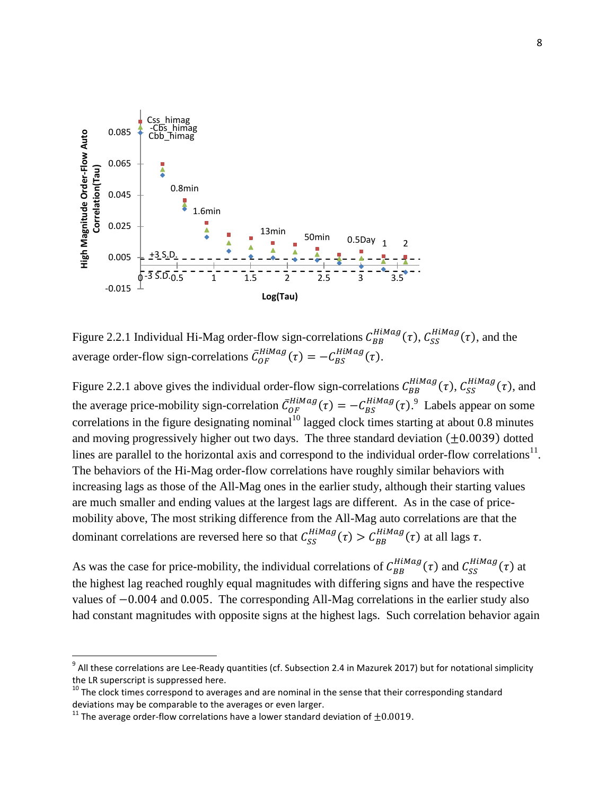

Figure 2.2.1 Individual Hi-Mag order-flow sign-correlations  $C_{BB}^{HiMag}(\tau)$ ,  $C_{SS}^{HiMag}(\tau)$ , and the average order-flow sign-correlations  $\bar{C}_{OF}^{HiMag}(\tau) = -C_{BS}^{HiMag}(\tau)$ .

Figure 2.2.1 above gives the individual order-flow sign-correlations  $C_{BB}^{HiMag}(\tau)$ ,  $C_{SS}^{HiMag}(\tau)$ , and the average price-mobility sign-correlation  $\bar{C}_{OF}^{HiMag}(\tau) = -C_{BS}^{HiMag}(\tau)$ .<sup>9</sup> Labels appear on some correlations in the figure designating nominal<sup>10</sup> lagged clock times starting at about 0.8 minutes and moving progressively higher out two days. The three standard deviation  $(\pm 0.0039)$  dotted lines are parallel to the horizontal axis and correspond to the individual order-flow correlations<sup>11</sup>. The behaviors of the Hi-Mag order-flow correlations have roughly similar behaviors with increasing lags as those of the All-Mag ones in the earlier study, although their starting values are much smaller and ending values at the largest lags are different. As in the case of pricemobility above, The most striking difference from the All-Mag auto correlations are that the dominant correlations are reversed here so that  $C_{SS}^{HiMag}(\tau) > C_{BB}^{HiMag}(\tau)$  at all lags  $\tau$ .

As was the case for price-mobility, the individual correlations of  $C_{BB}^{HiMag}(\tau)$  and  $C_{SS}^{HiMag}(\tau)$  at the highest lag reached roughly equal magnitudes with differing signs and have the respective values of −0.004 and 0.005. The corresponding All-Mag correlations in the earlier study also had constant magnitudes with opposite signs at the highest lags. Such correlation behavior again

l

 $^9$  All these correlations are Lee-Ready quantities (cf. Subsection 2.4 in Mazurek 2017) but for notational simplicity the LR superscript is suppressed here.

 $10$  The clock times correspond to averages and are nominal in the sense that their corresponding standard deviations may be comparable to the averages or even larger.

<sup>&</sup>lt;sup>11</sup> The average order-flow correlations have a lower standard deviation of  $\pm 0.0019$ .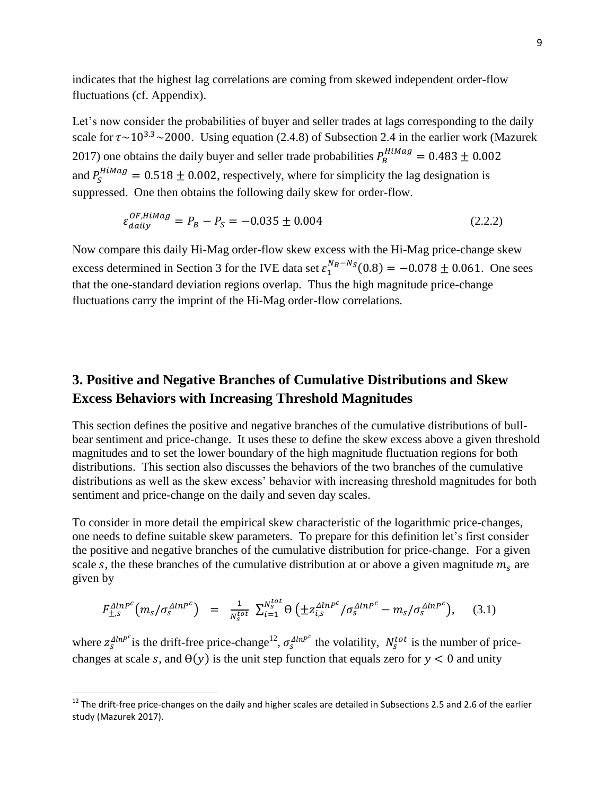indicates that the highest lag correlations are coming from skewed independent order-flow fluctuations (cf. Appendix).

Let's now consider the probabilities of buyer and seller trades at lags corresponding to the daily scale for  $\tau \sim 10^{3.3} \sim 2000$ . Using equation (2.4.8) of Subsection 2.4 in the earlier work (Mazurek 2017) one obtains the daily buyer and seller trade probabilities  $P_B^{HiMag} = 0.483 \pm 0.002$ and  $P_S^{HiMag} = 0.518 \pm 0.002$ , respectively, where for simplicity the lag designation is suppressed. One then obtains the following daily skew for order-flow.

$$
\varepsilon_{daily}^{OF, HilMag} = P_B - P_S = -0.035 \pm 0.004 \tag{2.2.2}
$$

Now compare this daily Hi-Mag order-flow skew excess with the Hi-Mag price-change skew excess determined in Section 3 for the IVE data set  $\varepsilon_1^{N_B-N_S}(0.8) = -0.078 \pm 0.061$ . One sees that the one-standard deviation regions overlap. Thus the high magnitude price-change fluctuations carry the imprint of the Hi-Mag order-flow correlations.

## **3. Positive and Negative Branches of Cumulative Distributions and Skew Excess Behaviors with Increasing Threshold Magnitudes**

This section defines the positive and negative branches of the cumulative distributions of bullbear sentiment and price-change. It uses these to define the skew excess above a given threshold magnitudes and to set the lower boundary of the high magnitude fluctuation regions for both distributions. This section also discusses the behaviors of the two branches of the cumulative distributions as well as the skew excess' behavior with increasing threshold magnitudes for both sentiment and price-change on the daily and seven day scales.

To consider in more detail the empirical skew characteristic of the logarithmic price-changes, one needs to define suitable skew parameters. To prepare for this definition let's first consider the positive and negative branches of the cumulative distribution for price-change. For a given scale s, the these branches of the cumulative distribution at or above a given magnitude  $m<sub>s</sub>$  are given by

$$
F_{\pm,s}^{\Delta l n P^c} \left( m_s / \sigma_s^{\Delta l n P^c} \right) = \frac{1}{N_s^{tot}} \sum_{i=1}^{N_s^{tot}} \Theta \left( \pm z_{i,s}^{\Delta l n P^c} / \sigma_s^{\Delta l n P^c} - m_s / \sigma_s^{\Delta l n P^c} \right), \quad (3.1)
$$

where  $z_s^{AlnP^c}$  is the drift-free price-change<sup>12</sup>,  $\sigma_s^{AlnP^c}$  the volatility,  $N_s^{tot}$  is the number of pricechanges at scale s, and  $\Theta(y)$  is the unit step function that equals zero for  $y < 0$  and unity

l

 $^{12}$  The drift-free price-changes on the daily and higher scales are detailed in Subsections 2.5 and 2.6 of the earlier study (Mazurek 2017).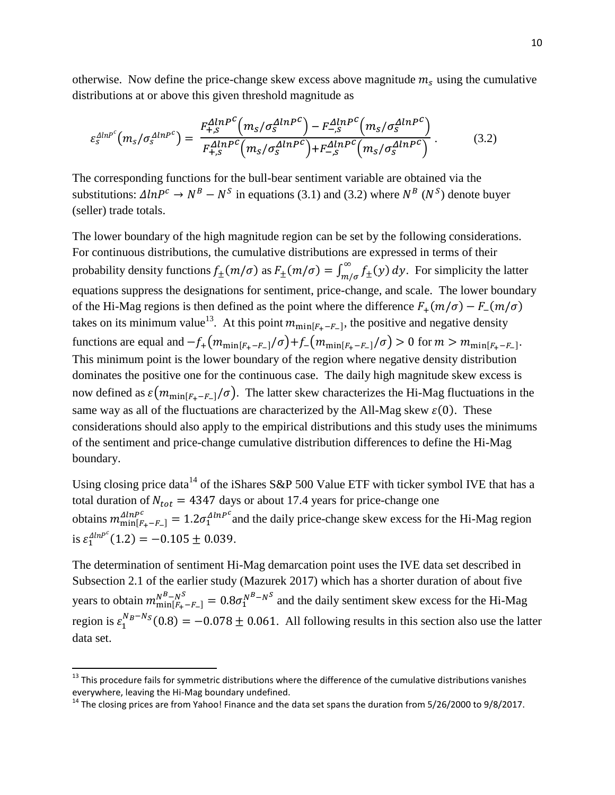otherwise. Now define the price-change skew excess above magnitude  $m<sub>s</sub>$  using the cumulative distributions at or above this given threshold magnitude as

$$
\varepsilon_{S}^{\Delta l n P^c} \left( m_S / \sigma_S^{\Delta l n P^c} \right) = \frac{F_{+,S}^{\Delta l n P^c} \left( m_S / \sigma_S^{\Delta l n P^c} \right) - F_{-,S}^{\Delta l n P^c} \left( m_S / \sigma_S^{\Delta l n P^c} \right)}{F_{+,S}^{\Delta l n P^c} \left( m_S / \sigma_S^{\Delta l n P^c} \right) + F_{-,S}^{\Delta l n P^c} \left( m_S / \sigma_S^{\Delta l n P^c} \right)} \,. \tag{3.2}
$$

The corresponding functions for the bull-bear sentiment variable are obtained via the substitutions:  $\Delta lnP^c \rightarrow N^B - N^S$  in equations (3.1) and (3.2) where  $N^B (N^S)$  denote buyer (seller) trade totals.

The lower boundary of the high magnitude region can be set by the following considerations. For continuous distributions, the cumulative distributions are expressed in terms of their probability density functions  $f_{\pm}(m/\sigma)$  as  $F_{\pm}(m/\sigma) = \int_{m/\sigma}^{\infty} f_{\pm}(y)$  $\int_{m/\sigma}^{\infty} f_{\pm}(y) dy$ . For simplicity the latter equations suppress the designations for sentiment, price-change, and scale. The lower boundary of the Hi-Mag regions is then defined as the point where the difference  $F_+(m/\sigma) - F_-(m/\sigma)$ takes on its minimum value<sup>13</sup>. At this point  $m_{\min[F_{+}-F_{-}]}$ , the positive and negative density functions are equal and  $-f_+(m_{\min[F_+-F_-]}/\sigma)+f_-(m_{\min[F_+-F_-]}/\sigma) > 0$  for  $m > m_{\min[F_+-F_-]}$ . This minimum point is the lower boundary of the region where negative density distribution dominates the positive one for the continuous case. The daily high magnitude skew excess is now defined as  $\varepsilon(m_{\min[F,-F]}/\sigma)$ . The latter skew characterizes the Hi-Mag fluctuations in the same way as all of the fluctuations are characterized by the All-Mag skew  $\varepsilon(0)$ . These considerations should also apply to the empirical distributions and this study uses the minimums of the sentiment and price-change cumulative distribution differences to define the Hi-Mag boundary.

Using closing price data<sup>14</sup> of the iShares S&P 500 Value ETF with ticker symbol IVE that has a total duration of  $N_{tot} = 4347$  days or about 17.4 years for price-change one obtains  $m_{\min[F_{+}-F_{-}]}^{\Delta l n P^c} = 1.2 \sigma_1^{\Delta l n P^c}$  and the daily price-change skew excess for the Hi-Mag region is  $\varepsilon_1^{\Delta l n P^c} (1.2) = -0.105 \pm 0.039.$ 

The determination of sentiment Hi-Mag demarcation point uses the IVE data set described in Subsection 2.1 of the earlier study (Mazurek 2017) which has a shorter duration of about five years to obtain  $m_{\text{min}[F_+-F_-]}^{N^B-N^S} = 0.8 \sigma_1^{N^B-N^S}$  and the daily sentiment skew excess for the Hi-Mag region is  $\varepsilon_1^{N_B - N_S}(0.8) = -0.078 \pm 0.061$ . All following results in this section also use the latter data set.

 $\overline{a}$ 

 $13$  This procedure fails for symmetric distributions where the difference of the cumulative distributions vanishes everywhere, leaving the Hi-Mag boundary undefined.

<sup>&</sup>lt;sup>14</sup> The closing prices are from Yahoo! Finance and the data set spans the duration from 5/26/2000 to 9/8/2017.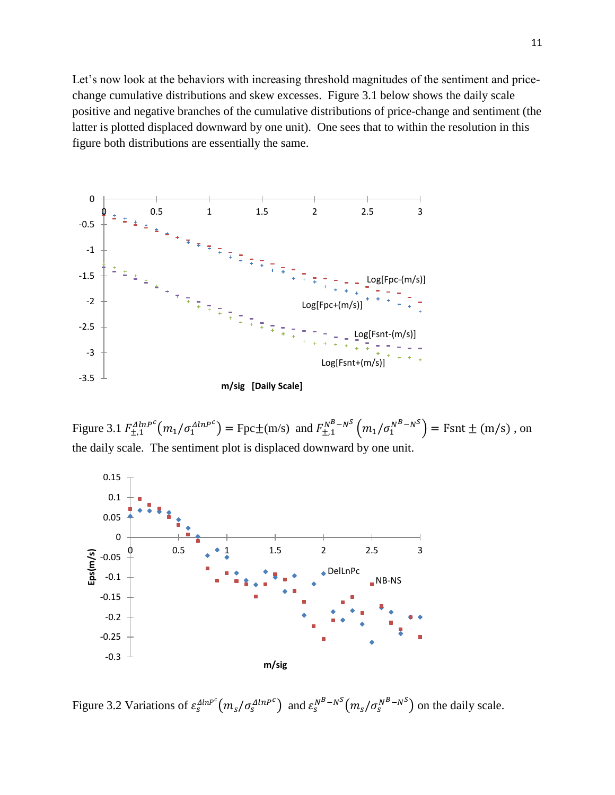Let's now look at the behaviors with increasing threshold magnitudes of the sentiment and pricechange cumulative distributions and skew excesses. Figure 3.1 below shows the daily scale positive and negative branches of the cumulative distributions of price-change and sentiment (the latter is plotted displaced downward by one unit). One sees that to within the resolution in this figure both distributions are essentially the same.



Figure 3.1  $F_{\pm,1}^{AlnP^c}(m_1/\sigma_1^{AlnP^c}) = \text{Fpc} \pm (\text{m/s})$  and  $F_{\pm,1}^{N^B - N^S}(m_1/\sigma_1^{N^B - N^S}) = \text{Fsnt} \pm (\text{m/s})$ , on the daily scale. The sentiment plot is displaced downward by one unit.



Figure 3.2 Variations of  $\varepsilon_s^{AlnP^c}(m_s/\sigma_s^{AlnP^c})$  and  $\varepsilon_s^{N^B-N^S}(m_s/\sigma_s^{N^B-N^S})$  on the daily scale.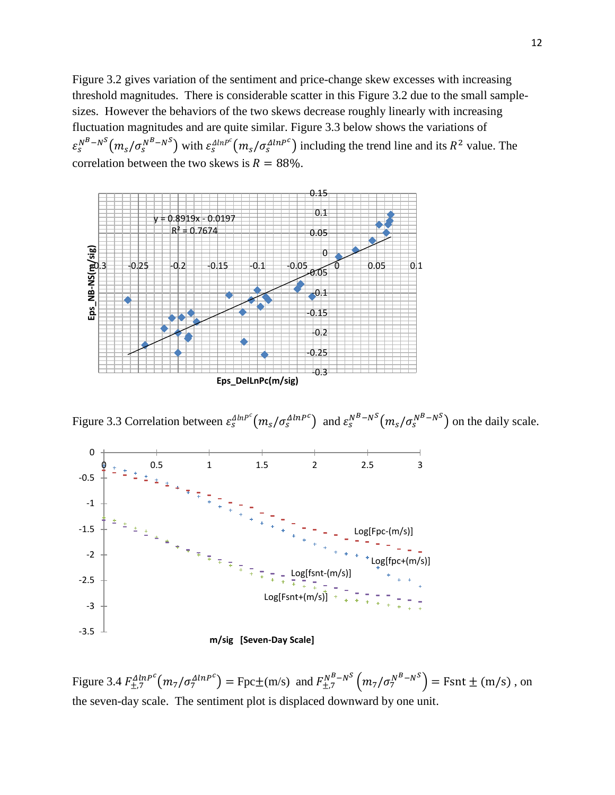Figure 3.2 gives variation of the sentiment and price-change skew excesses with increasing threshold magnitudes. There is considerable scatter in this Figure 3.2 due to the small samplesizes. However the behaviors of the two skews decrease roughly linearly with increasing fluctuation magnitudes and are quite similar. Figure 3.3 below shows the variations of  $\varepsilon_s^{N^B-N^S}(m_s/\sigma_s^{N^B-N^S})$  with  $\varepsilon_s^{AlnP^C}(m_s/\sigma_s^{AlnP^C})$  including the trend line and its  $R^2$  value. The correlation between the two skews is  $R = 88\%$ .



Figure 3.3 Correlation between  $\varepsilon_s^{AlnP^c} (m_s/\sigma_s^{AlnP^c})$  and  $\varepsilon_s^{N^B-N^S} (m_s/\sigma_s^{N^B-N^S})$  on the daily scale.



Figure 3.4  $F_{\pm,7}^{AlnP^c}(m_7/\sigma_7^{AlnP^c}) = \text{Fpc} \pm (m/s)$  and  $F_{\pm,7}^{N^B-N^S}(m_7/\sigma_7^{N^B-N^S}) = \text{Fsnt} \pm (m/s)$ , on the seven-day scale. The sentiment plot is displaced downward by one unit.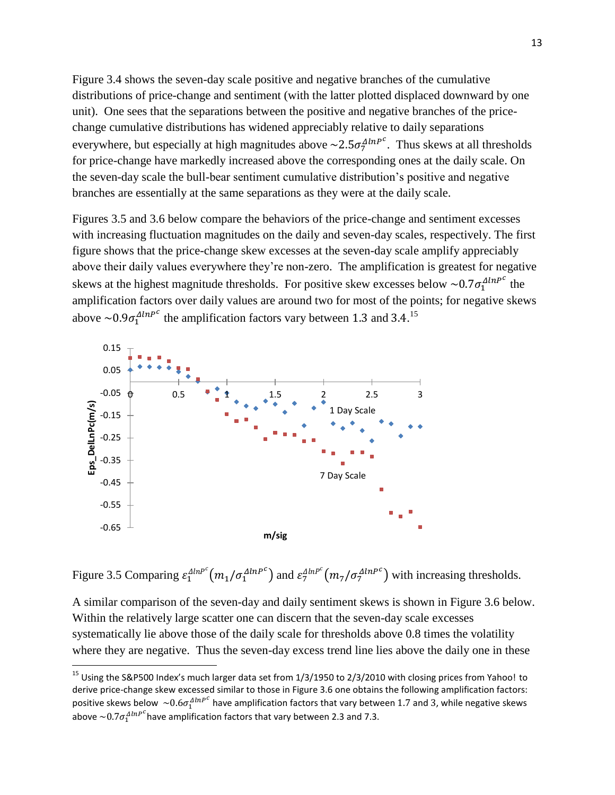Figure 3.4 shows the seven-day scale positive and negative branches of the cumulative distributions of price-change and sentiment (with the latter plotted displaced downward by one unit). One sees that the separations between the positive and negative branches of the pricechange cumulative distributions has widened appreciably relative to daily separations everywhere, but especially at high magnitudes above  $\sim 2.5 \sigma_7^{AlnPc}$ . Thus skews at all thresholds for price-change have markedly increased above the corresponding ones at the daily scale. On the seven-day scale the bull-bear sentiment cumulative distribution's positive and negative branches are essentially at the same separations as they were at the daily scale.

Figures 3.5 and 3.6 below compare the behaviors of the price-change and sentiment excesses with increasing fluctuation magnitudes on the daily and seven-day scales, respectively. The first figure shows that the price-change skew excesses at the seven-day scale amplify appreciably above their daily values everywhere they're non-zero. The amplification is greatest for negative skews at the highest magnitude thresholds. For positive skew excesses below  $\sim 0.7 \sigma_1^{AlnP^c}$  the amplification factors over daily values are around two for most of the points; for negative skews above  $\sim 0.9 \sigma_1^{AlnP^c}$  the amplification factors vary between 1.3 and 3.4.<sup>15</sup>



 $\overline{\phantom{a}}$ 

Figure 3.5 Comparing  $\varepsilon_1^{AlnP^c}(m_1/\sigma_1^{AlnP^c})$  and  $\varepsilon_7^{AlnP^c}(m_7/\sigma_7^{AlnP^c})$  with increasing thresholds.

A similar comparison of the seven-day and daily sentiment skews is shown in Figure 3.6 below. Within the relatively large scatter one can discern that the seven-day scale excesses systematically lie above those of the daily scale for thresholds above 0.8 times the volatility where they are negative. Thus the seven-day excess trend line lies above the daily one in these

<sup>&</sup>lt;sup>15</sup> Using the S&P500 Index's much larger data set from 1/3/1950 to 2/3/2010 with closing prices from Yahoo! to derive price-change skew excessed similar to those in Figure 3.6 one obtains the following amplification factors: positive skews below  $~\sim$ 0.6 $\sigma_1^{AlnP^C}$  have amplification factors that vary between 1.7 and 3, while negative skews above  ${\sim}0.7\sigma_1^{AlnP^{\mathcal{C}}}$ have amplification factors that vary between 2.3 and 7.3.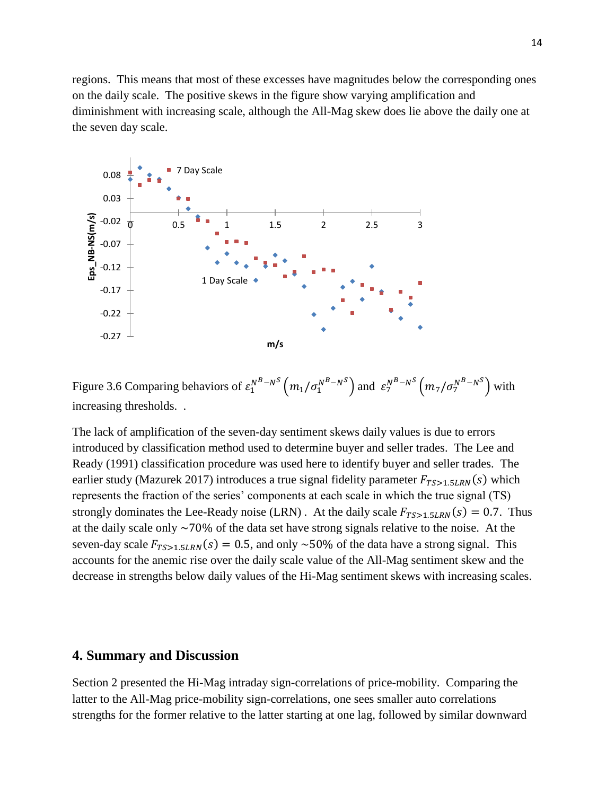regions. This means that most of these excesses have magnitudes below the corresponding ones on the daily scale. The positive skews in the figure show varying amplification and diminishment with increasing scale, although the All-Mag skew does lie above the daily one at the seven day scale.



Figure 3.6 Comparing behaviors of  $\varepsilon_1^{N^B-N^S} \left( m_1/\sigma_1^{N^B-N^S} \right)$  and  $\varepsilon_7^{N^B-N^S} \left( m_7/\sigma_7^{N^B-N^S} \right)$  with increasing thresholds. .

The lack of amplification of the seven-day sentiment skews daily values is due to errors introduced by classification method used to determine buyer and seller trades. The Lee and Ready (1991) classification procedure was used here to identify buyer and seller trades. The earlier study (Mazurek 2017) introduces a true signal fidelity parameter  $F_{TSS1.5LRN}(s)$  which represents the fraction of the series' components at each scale in which the true signal (TS) strongly dominates the Lee-Ready noise (LRN). At the daily scale  $F_{TSS1.5LRN}(s) = 0.7$ . Thus at the daily scale only  $\sim$  70% of the data set have strong signals relative to the noise. At the seven-day scale  $F_{T, S>1, 5LRN}(s) = 0.5$ , and only ~50% of the data have a strong signal. This accounts for the anemic rise over the daily scale value of the All-Mag sentiment skew and the decrease in strengths below daily values of the Hi-Mag sentiment skews with increasing scales.

## **4. Summary and Discussion**

Section 2 presented the Hi-Mag intraday sign-correlations of price-mobility. Comparing the latter to the All-Mag price-mobility sign-correlations, one sees smaller auto correlations strengths for the former relative to the latter starting at one lag, followed by similar downward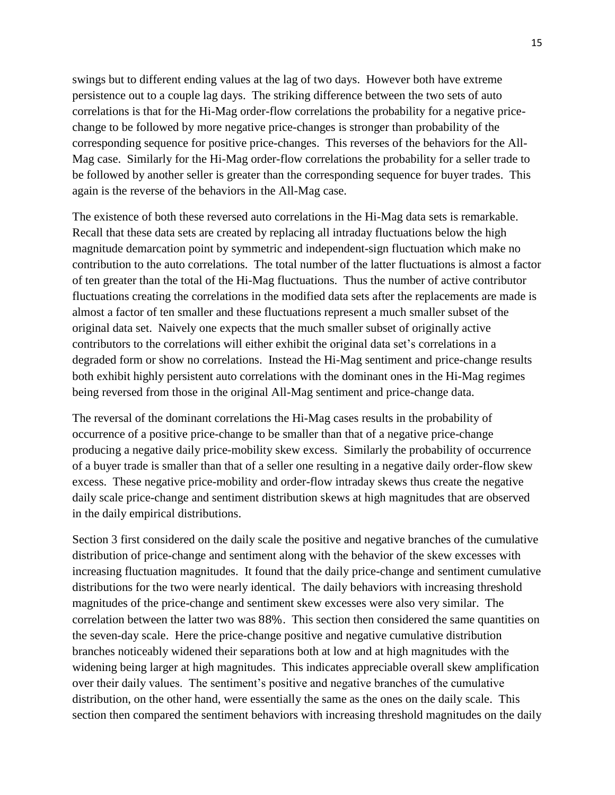swings but to different ending values at the lag of two days. However both have extreme persistence out to a couple lag days. The striking difference between the two sets of auto correlations is that for the Hi-Mag order-flow correlations the probability for a negative pricechange to be followed by more negative price-changes is stronger than probability of the corresponding sequence for positive price-changes. This reverses of the behaviors for the All-Mag case. Similarly for the Hi-Mag order-flow correlations the probability for a seller trade to be followed by another seller is greater than the corresponding sequence for buyer trades. This again is the reverse of the behaviors in the All-Mag case.

The existence of both these reversed auto correlations in the Hi-Mag data sets is remarkable. Recall that these data sets are created by replacing all intraday fluctuations below the high magnitude demarcation point by symmetric and independent-sign fluctuation which make no contribution to the auto correlations. The total number of the latter fluctuations is almost a factor of ten greater than the total of the Hi-Mag fluctuations. Thus the number of active contributor fluctuations creating the correlations in the modified data sets after the replacements are made is almost a factor of ten smaller and these fluctuations represent a much smaller subset of the original data set. Naively one expects that the much smaller subset of originally active contributors to the correlations will either exhibit the original data set's correlations in a degraded form or show no correlations. Instead the Hi-Mag sentiment and price-change results both exhibit highly persistent auto correlations with the dominant ones in the Hi-Mag regimes being reversed from those in the original All-Mag sentiment and price-change data.

The reversal of the dominant correlations the Hi-Mag cases results in the probability of occurrence of a positive price-change to be smaller than that of a negative price-change producing a negative daily price-mobility skew excess. Similarly the probability of occurrence of a buyer trade is smaller than that of a seller one resulting in a negative daily order-flow skew excess. These negative price-mobility and order-flow intraday skews thus create the negative daily scale price-change and sentiment distribution skews at high magnitudes that are observed in the daily empirical distributions.

Section 3 first considered on the daily scale the positive and negative branches of the cumulative distribution of price-change and sentiment along with the behavior of the skew excesses with increasing fluctuation magnitudes. It found that the daily price-change and sentiment cumulative distributions for the two were nearly identical. The daily behaviors with increasing threshold magnitudes of the price-change and sentiment skew excesses were also very similar. The correlation between the latter two was 88%. This section then considered the same quantities on the seven-day scale. Here the price-change positive and negative cumulative distribution branches noticeably widened their separations both at low and at high magnitudes with the widening being larger at high magnitudes. This indicates appreciable overall skew amplification over their daily values. The sentiment's positive and negative branches of the cumulative distribution, on the other hand, were essentially the same as the ones on the daily scale. This section then compared the sentiment behaviors with increasing threshold magnitudes on the daily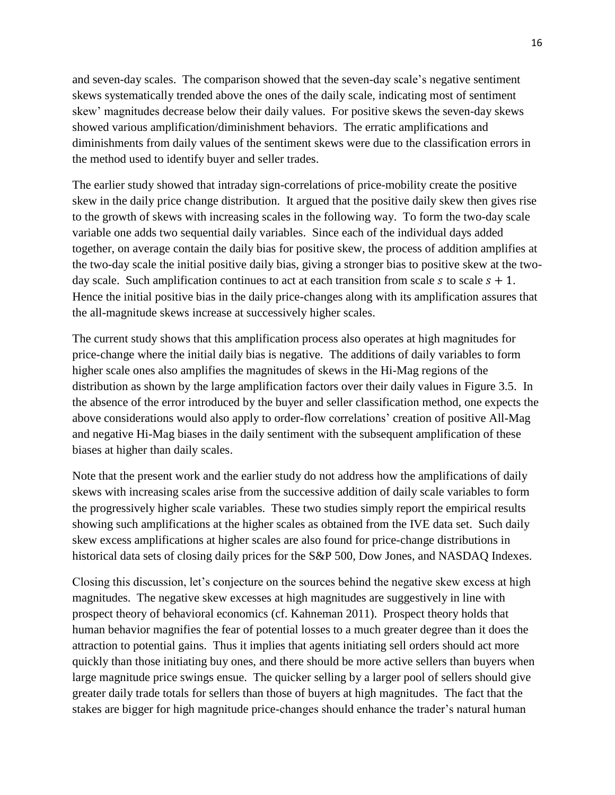and seven-day scales. The comparison showed that the seven-day scale's negative sentiment skews systematically trended above the ones of the daily scale, indicating most of sentiment skew' magnitudes decrease below their daily values. For positive skews the seven-day skews showed various amplification/diminishment behaviors. The erratic amplifications and diminishments from daily values of the sentiment skews were due to the classification errors in the method used to identify buyer and seller trades.

The earlier study showed that intraday sign-correlations of price-mobility create the positive skew in the daily price change distribution. It argued that the positive daily skew then gives rise to the growth of skews with increasing scales in the following way. To form the two-day scale variable one adds two sequential daily variables. Since each of the individual days added together, on average contain the daily bias for positive skew, the process of addition amplifies at the two-day scale the initial positive daily bias, giving a stronger bias to positive skew at the twoday scale. Such amplification continues to act at each transition from scale  $s$  to scale  $s + 1$ . Hence the initial positive bias in the daily price-changes along with its amplification assures that the all-magnitude skews increase at successively higher scales.

The current study shows that this amplification process also operates at high magnitudes for price-change where the initial daily bias is negative. The additions of daily variables to form higher scale ones also amplifies the magnitudes of skews in the Hi-Mag regions of the distribution as shown by the large amplification factors over their daily values in Figure 3.5. In the absence of the error introduced by the buyer and seller classification method, one expects the above considerations would also apply to order-flow correlations' creation of positive All-Mag and negative Hi-Mag biases in the daily sentiment with the subsequent amplification of these biases at higher than daily scales.

Note that the present work and the earlier study do not address how the amplifications of daily skews with increasing scales arise from the successive addition of daily scale variables to form the progressively higher scale variables. These two studies simply report the empirical results showing such amplifications at the higher scales as obtained from the IVE data set. Such daily skew excess amplifications at higher scales are also found for price-change distributions in historical data sets of closing daily prices for the S&P 500, Dow Jones, and NASDAQ Indexes.

Closing this discussion, let's conjecture on the sources behind the negative skew excess at high magnitudes. The negative skew excesses at high magnitudes are suggestively in line with prospect theory of behavioral economics (cf. Kahneman 2011). Prospect theory holds that human behavior magnifies the fear of potential losses to a much greater degree than it does the attraction to potential gains. Thus it implies that agents initiating sell orders should act more quickly than those initiating buy ones, and there should be more active sellers than buyers when large magnitude price swings ensue. The quicker selling by a larger pool of sellers should give greater daily trade totals for sellers than those of buyers at high magnitudes. The fact that the stakes are bigger for high magnitude price-changes should enhance the trader's natural human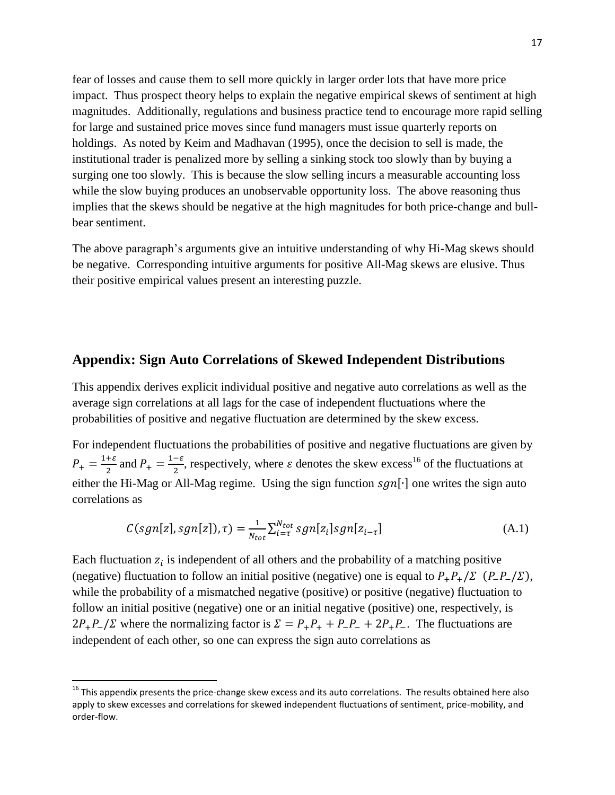fear of losses and cause them to sell more quickly in larger order lots that have more price impact. Thus prospect theory helps to explain the negative empirical skews of sentiment at high magnitudes. Additionally, regulations and business practice tend to encourage more rapid selling for large and sustained price moves since fund managers must issue quarterly reports on holdings. As noted by Keim and Madhavan (1995), once the decision to sell is made, the institutional trader is penalized more by selling a sinking stock too slowly than by buying a surging one too slowly. This is because the slow selling incurs a measurable accounting loss while the slow buying produces an unobservable opportunity loss. The above reasoning thus implies that the skews should be negative at the high magnitudes for both price-change and bullbear sentiment.

The above paragraph's arguments give an intuitive understanding of why Hi-Mag skews should be negative. Corresponding intuitive arguments for positive All-Mag skews are elusive. Thus their positive empirical values present an interesting puzzle.

## **Appendix: Sign Auto Correlations of Skewed Independent Distributions**

This appendix derives explicit individual positive and negative auto correlations as well as the average sign correlations at all lags for the case of independent fluctuations where the probabilities of positive and negative fluctuation are determined by the skew excess.

For independent fluctuations the probabilities of positive and negative fluctuations are given by  $P_{+} = \frac{1+\varepsilon}{2}$  $\frac{2}{2}$  and  $P_+ = \frac{1-\varepsilon}{2}$  $\frac{-\varepsilon}{2}$ , respectively, where  $\varepsilon$  denotes the skew excess<sup>16</sup> of the fluctuations at either the Hi-Mag or All-Mag regime. Using the sign function  $sgn[\cdot]$  one writes the sign auto correlations as

$$
C(sgn[z], sgn[z]), \tau) = \frac{1}{N_{tot}} \sum_{i=\tau}^{N_{tot}} sgn[z_i] sgn[z_{i-\tau}]
$$
\n(A.1)

Each fluctuation  $z_i$  is independent of all others and the probability of a matching positive (negative) fluctuation to follow an initial positive (negative) one is equal to  $P_+P_+/\Sigma$  ( $P_-P_-/\Sigma$ ), while the probability of a mismatched negative (positive) or positive (negative) fluctuation to follow an initial positive (negative) one or an initial negative (positive) one, respectively, is  $2P_{+}P_{-}/\Sigma$  where the normalizing factor is  $\Sigma = P_{+}P_{+} + P_{-}P_{-} + 2P_{+}P_{-}$ . The fluctuations are independent of each other, so one can express the sign auto correlations as

 $\overline{\phantom{a}}$ 

<sup>&</sup>lt;sup>16</sup> This appendix presents the price-change skew excess and its auto correlations. The results obtained here also apply to skew excesses and correlations for skewed independent fluctuations of sentiment, price-mobility, and order-flow.